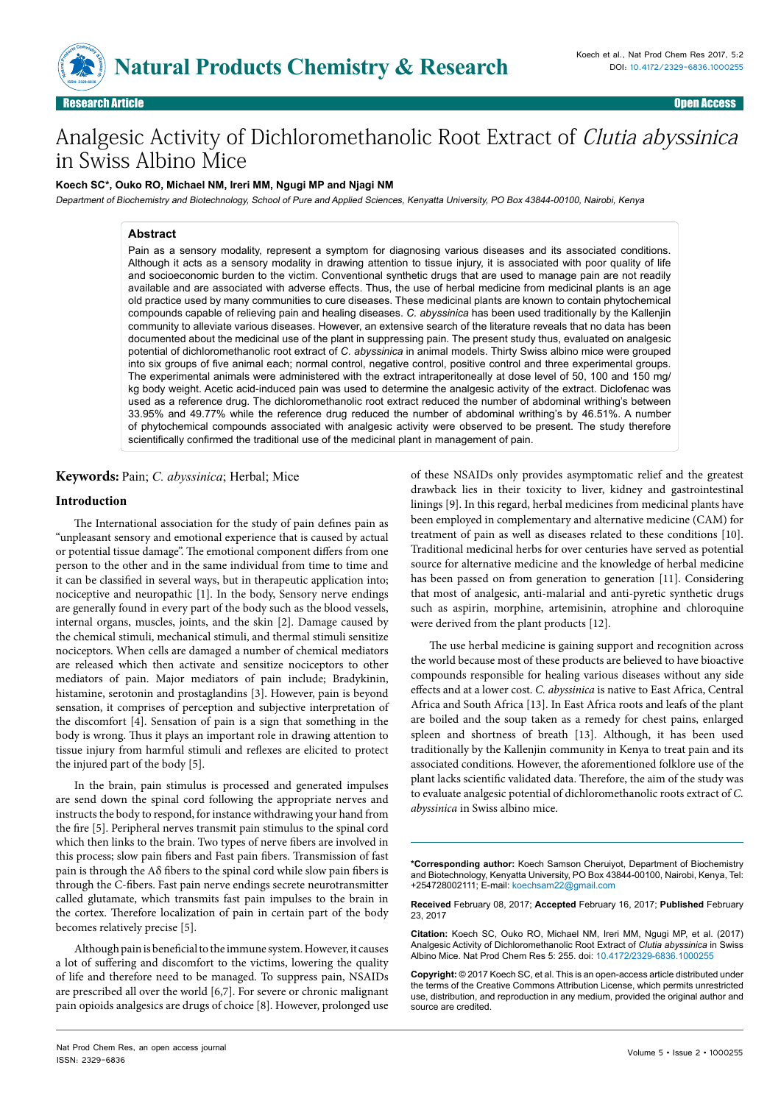

# Analgesic Activity of Dichloromethanolic Root Extract of Clutia abyssinica in Swiss Albino Mice

#### **Koech SC\*, Ouko RO, Michael NM, Ireri MM, Ngugi MP and Njagi NM**

Department of Biochemistry and Biotechnology, School of Pure and Applied Sciences, Kenyatta University, PO Box 43844-00100, Nairobi, Kenya

#### **Abstract**

Pain as a sensory modality, represent a symptom for diagnosing various diseases and its associated conditions. Although it acts as a sensory modality in drawing attention to tissue injury, it is associated with poor quality of life and socioeconomic burden to the victim. Conventional synthetic drugs that are used to manage pain are not readily available and are associated with adverse effects. Thus, the use of herbal medicine from medicinal plants is an age old practice used by many communities to cure diseases. These medicinal plants are known to contain phytochemical compounds capable of relieving pain and healing diseases. *C. abyssinica* has been used traditionally by the Kallenjin community to alleviate various diseases. However, an extensive search of the literature reveals that no data has been documented about the medicinal use of the plant in suppressing pain. The present study thus, evaluated on analgesic potential of dichloromethanolic root extract of *C. abyssinica* in animal models. Thirty Swiss albino mice were grouped into six groups of five animal each; normal control, negative control, positive control and three experimental groups. The experimental animals were administered with the extract intraperitoneally at dose level of 50, 100 and 150 mg/ kg body weight. Acetic acid-induced pain was used to determine the analgesic activity of the extract. Diclofenac was used as a reference drug. The dichloromethanolic root extract reduced the number of abdominal writhing's between 33.95% and 49.77% while the reference drug reduced the number of abdominal writhing's by 46.51%. A number of phytochemical compounds associated with analgesic activity were observed to be present. The study therefore scientifically confirmed the traditional use of the medicinal plant in management of pain.

**Keywords:** Pain; *C. abyssinica*; Herbal; Mice

## **Introduction**

The International association for the study of pain defines pain as "unpleasant sensory and emotional experience that is caused by actual or potential tissue damage". The emotional component differs from one person to the other and in the same individual from time to time and it can be classified in several ways, but in therapeutic application into; nociceptive and neuropathic [1]. In the body, Sensory nerve endings are generally found in every part of the body such as the blood vessels, internal organs, muscles, joints, and the skin [2]. Damage caused by the chemical stimuli, mechanical stimuli, and thermal stimuli sensitize nociceptors. When cells are damaged a number of chemical mediators are released which then activate and sensitize nociceptors to other mediators of pain. Major mediators of pain include; Bradykinin, histamine, serotonin and prostaglandins [3]. However, pain is beyond sensation, it comprises of perception and subjective interpretation of the discomfort [4]. Sensation of pain is a sign that something in the body is wrong. Thus it plays an important role in drawing attention to tissue injury from harmful stimuli and reflexes are elicited to protect the injured part of the body [5].

In the brain, pain stimulus is processed and generated impulses are send down the spinal cord following the appropriate nerves and instructs the body to respond, for instance withdrawing your hand from the fire [5]. Peripheral nerves transmit pain stimulus to the spinal cord which then links to the brain. Two types of nerve fibers are involved in this process; slow pain fibers and Fast pain fibers. Transmission of fast pain is through the Aδ fibers to the spinal cord while slow pain fibers is through the C-fibers. Fast pain nerve endings secrete neurotransmitter called glutamate, which transmits fast pain impulses to the brain in the cortex. Therefore localization of pain in certain part of the body becomes relatively precise [5].

Although pain is beneficial to the immune system. However, it causes a lot of suffering and discomfort to the victims, lowering the quality of life and therefore need to be managed. To suppress pain, NSAIDs are prescribed all over the world [6,7]. For severe or chronic malignant pain opioids analgesics are drugs of choice [8]. However, prolonged use of these NSAIDs only provides asymptomatic relief and the greatest drawback lies in their toxicity to liver, kidney and gastrointestinal linings [9]. In this regard, herbal medicines from medicinal plants have been employed in complementary and alternative medicine (CAM) for treatment of pain as well as diseases related to these conditions [10]. Traditional medicinal herbs for over centuries have served as potential source for alternative medicine and the knowledge of herbal medicine has been passed on from generation to generation [11]. Considering that most of analgesic, anti-malarial and anti-pyretic synthetic drugs such as aspirin, morphine, artemisinin, atrophine and chloroquine were derived from the plant products [12].

The use herbal medicine is gaining support and recognition across the world because most of these products are believed to have bioactive compounds responsible for healing various diseases without any side effects and at a lower cost. *C. abyssinica* is native to East Africa, Central Africa and South Africa [13]. In East Africa roots and leafs of the plant are boiled and the soup taken as a remedy for chest pains, enlarged spleen and shortness of breath [13]. Although, it has been used traditionally by the Kallenjin community in Kenya to treat pain and its associated conditions. However, the aforementioned folklore use of the plant lacks scientific validated data. Therefore, the aim of the study was to evaluate analgesic potential of dichloromethanolic roots extract of *C. abyssinica* in Swiss albino mice.

**\*Corresponding author:** Koech Samson Cheruiyot, Department of Biochemistry and Biotechnology, Kenyatta University, PO Box 43844-00100, Nairobi, Kenya, Tel: +254728002111; E-mail: koechsam22@gmail.com

**Received** February 08, 2017; **Accepted** February 16, 2017; **Published** February 23, 2017

**Citation:** Koech SC, Ouko RO, Michael NM, Ireri MM, Ngugi MP, et al. (2017) Analgesic Activity of Dichloromethanolic Root Extract of *Clutia abyssinica* in Swiss Albino Mice. Nat Prod Chem Res 5: 255. doi: 10.4172/2329-6836.1000255

**Copyright:** © 2017 Koech SC, et al. This is an open-access article distributed under the terms of the Creative Commons Attribution License, which permits unrestricted use, distribution, and reproduction in any medium, provided the original author and source are credited.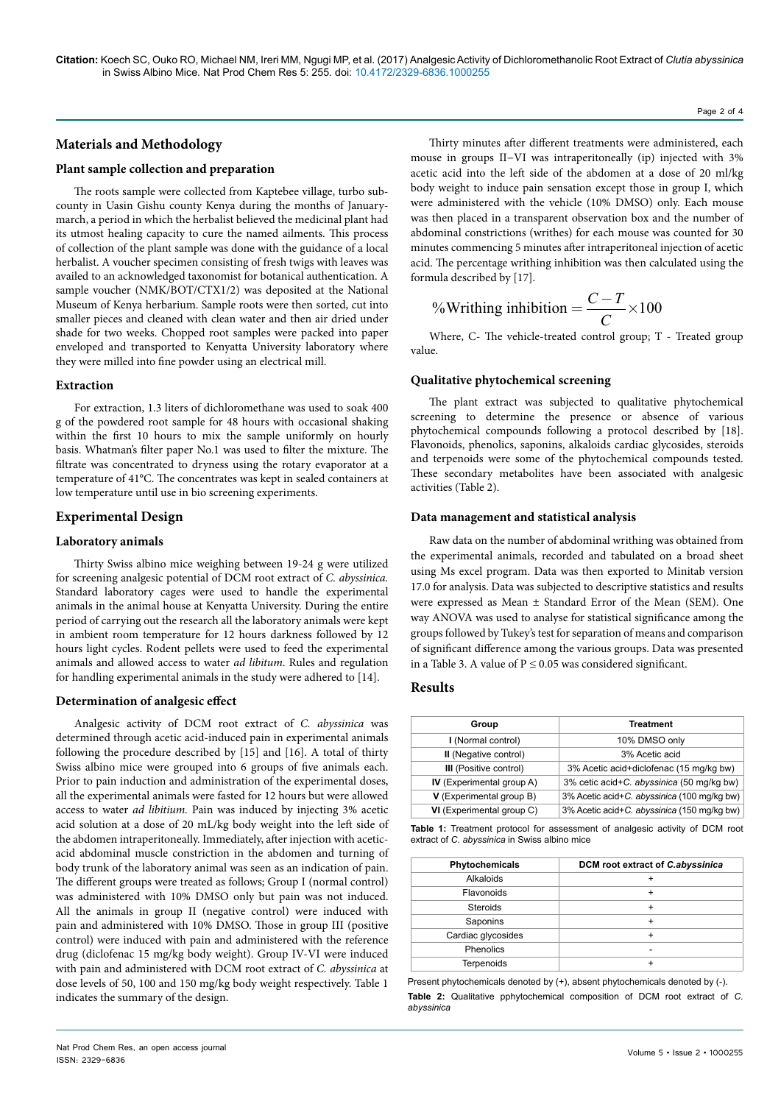# **Materials and Methodology**

## **Plant sample collection and preparation**

The roots sample were collected from Kaptebee village, turbo subcounty in Uasin Gishu county Kenya during the months of Januarymarch, a period in which the herbalist believed the medicinal plant had its utmost healing capacity to cure the named ailments. This process of collection of the plant sample was done with the guidance of a local herbalist. A voucher specimen consisting of fresh twigs with leaves was availed to an acknowledged taxonomist for botanical authentication. A sample voucher (NMK/BOT/CTX1/2) was deposited at the National Museum of Kenya herbarium. Sample roots were then sorted, cut into smaller pieces and cleaned with clean water and then air dried under shade for two weeks. Chopped root samples were packed into paper enveloped and transported to Kenyatta University laboratory where they were milled into fine powder using an electrical mill.

## **Extraction**

For extraction, 1.3 liters of dichloromethane was used to soak 400 g of the powdered root sample for 48 hours with occasional shaking within the first 10 hours to mix the sample uniformly on hourly basis. Whatman's filter paper No.1 was used to filter the mixture. The filtrate was concentrated to dryness using the rotary evaporator at a temperature of 41°C. The concentrates was kept in sealed containers at low temperature until use in bio screening experiments.

## **Experimental Design**

## **Laboratory animals**

Thirty Swiss albino mice weighing between 19-24 g were utilized for screening analgesic potential of DCM root extract of *C. abyssinica.*  Standard laboratory cages were used to handle the experimental animals in the animal house at Kenyatta University. During the entire period of carrying out the research all the laboratory animals were kept in ambient room temperature for 12 hours darkness followed by 12 hours light cycles. Rodent pellets were used to feed the experimental animals and allowed access to water *ad libitum*. Rules and regulation for handling experimental animals in the study were adhered to [14].

#### **Determination of analgesic effect**

Analgesic activity of DCM root extract of *C. abyssinica* was determined through acetic acid-induced pain in experimental animals following the procedure described by [15] and [16]. A total of thirty Swiss albino mice were grouped into 6 groups of five animals each. Prior to pain induction and administration of the experimental doses, all the experimental animals were fasted for 12 hours but were allowed access to water *ad libitium.* Pain was induced by injecting 3% acetic acid solution at a dose of 20 mL/kg body weight into the left side of the abdomen intraperitoneally. Immediately, after injection with aceticacid abdominal muscle constriction in the abdomen and turning of body trunk of the laboratory animal was seen as an indication of pain. The different groups were treated as follows; Group I (normal control) was administered with 10% DMSO only but pain was not induced. All the animals in group II (negative control) were induced with pain and administered with 10% DMSO. Those in group III (positive control) were induced with pain and administered with the reference drug (diclofenac 15 mg/kg body weight). Group IV-VI were induced with pain and administered with DCM root extract of *C. abyssinica* at dose levels of 50, 100 and 150 mg/kg body weight respectively. Table 1 indicates the summary of the design.

Thirty minutes after different treatments were administered, each mouse in groups II−VI was intraperitoneally (ip) injected with 3% acetic acid into the left side of the abdomen at a dose of 20 ml/kg body weight to induce pain sensation except those in group I, which were administered with the vehicle (10% DMSO) only. Each mouse was then placed in a transparent observation box and the number of abdominal constrictions (writhes) for each mouse was counted for 30 minutes commencing 5 minutes after intraperitoneal injection of acetic acid. The percentage writhing inhibition was then calculated using the formula described by [17].

$$
\% \text{Writing inhibition} = \frac{C - T}{C} \times 100
$$

Where, C- The vehicle-treated control group; T - Treated group value.

#### **Qualitative phytochemical screening**

The plant extract was subjected to qualitative phytochemical screening to determine the presence or absence of various phytochemical compounds following a protocol described by [18]. Flavonoids, phenolics, saponins, alkaloids cardiac glycosides, steroids and terpenoids were some of the phytochemical compounds tested. These secondary metabolites have been associated with analgesic activities (Table 2).

#### **Data management and statistical analysis**

Raw data on the number of abdominal writhing was obtained from the experimental animals, recorded and tabulated on a broad sheet using Ms excel program. Data was then exported to Minitab version 17.0 for analysis. Data was subjected to descriptive statistics and results were expressed as Mean ± Standard Error of the Mean (SEM). One way ANOVA was used to analyse for statistical significance among the groups followed by Tukey's test for separation of means and comparison of significant difference among the various groups. Data was presented in a Table 3. A value of  $P \le 0.05$  was considered significant.

## **Results**

| Group                         | Treatment                                   |  |
|-------------------------------|---------------------------------------------|--|
| I (Normal control)            | 10% DMSO only                               |  |
| II (Negative control)         | 3% Acetic acid                              |  |
| <b>III</b> (Positive control) | 3% Acetic acid+diclofenac (15 mg/kg bw)     |  |
| IV (Experimental group A)     | 3% cetic acid+C. abyssinica (50 mg/kg bw)   |  |
| V (Experimental group B)      | 3% Acetic acid+C. abyssinica (100 mg/kg bw) |  |
| VI (Experimental group C)     | 3% Acetic acid+C. abyssinica (150 mg/kg bw) |  |

**Table 1:** Treatment protocol for assessment of analgesic activity of DCM root extract of *C. abyssinica* in Swiss albino mice

| Phytochemicals     | DCM root extract of C.abyssinica |  |
|--------------------|----------------------------------|--|
| Alkaloids          |                                  |  |
| Flavonoids         |                                  |  |
| <b>Steroids</b>    |                                  |  |
| Saponins           |                                  |  |
| Cardiac glycosides |                                  |  |
| Phenolics          |                                  |  |
| <b>Terpenoids</b>  |                                  |  |

Present phytochemicals denoted by (+), absent phytochemicals denoted by (-). **Table 2:** Qualitative pphytochemical composition of DCM root extract of *C. abyssinica*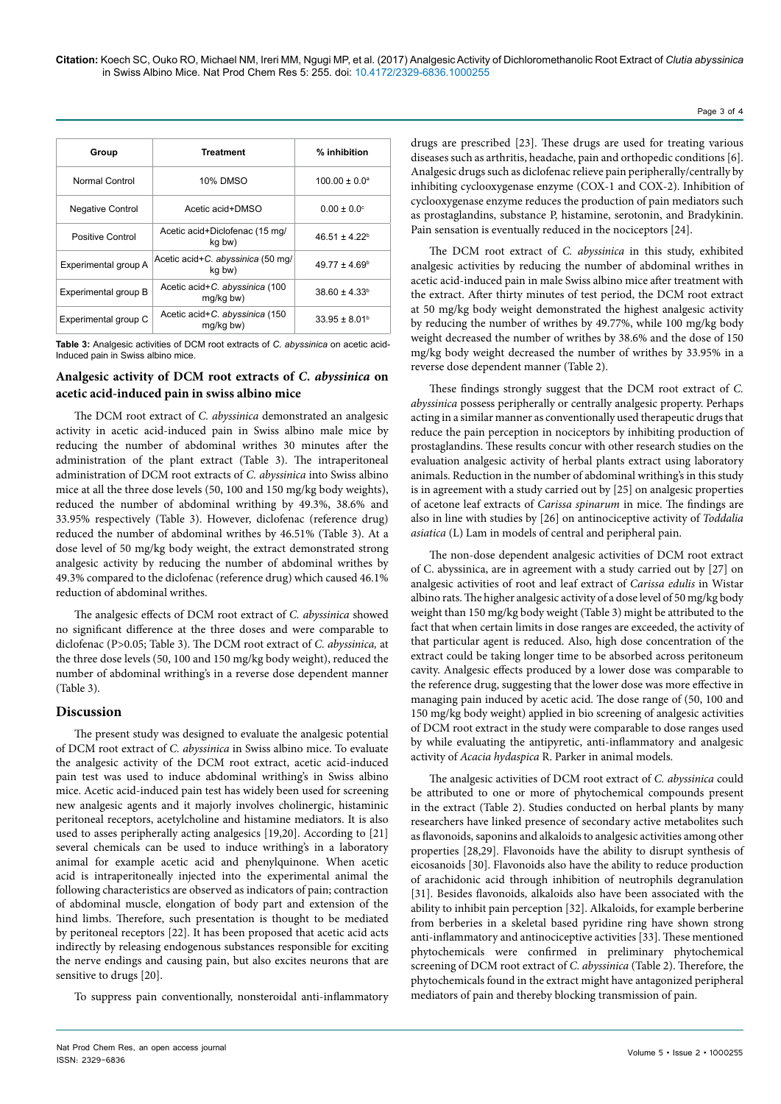| Group                   | Treatment                                   | % inhibition                  |
|-------------------------|---------------------------------------------|-------------------------------|
| Normal Control          | <b>10% DMSO</b>                             | $100.00 \pm 0.0$ <sup>a</sup> |
| <b>Negative Control</b> | Acetic acid+DMSO                            | $0.00 \pm 0.0$ <sup>c</sup>   |
| Positive Control        | Acetic acid+Diclofenac (15 mg/<br>kg bw)    | $46.51 \pm 4.22^b$            |
| Experimental group A    | Acetic acid+C. abyssinica (50 mg/<br>kg bw) | $49.77 \pm 4.69^{\circ}$      |
| Experimental group B    | Acetic acid+C. abyssinica (100<br>mg/kg bw) | $38.60 \pm 4.33^b$            |
| Experimental group C    | Acetic acid+C. abyssinica (150<br>mg/kg bw) | $33.95 \pm 8.01^{\circ}$      |

**Table 3:** Analgesic activities of DCM root extracts of *C. abyssinica* on acetic acid-Induced pain in Swiss albino mice.

# **Analgesic activity of DCM root extracts of** *C. abyssinica* **on acetic acid-induced pain in swiss albino mice**

The DCM root extract of *C. abyssinica* demonstrated an analgesic activity in acetic acid-induced pain in Swiss albino male mice by reducing the number of abdominal writhes 30 minutes after the administration of the plant extract (Table 3). The intraperitoneal administration of DCM root extracts of *C. abyssinica* into Swiss albino mice at all the three dose levels (50, 100 and 150 mg/kg body weights), reduced the number of abdominal writhing by 49.3%, 38.6% and 33.95% respectively (Table 3). However, diclofenac (reference drug) reduced the number of abdominal writhes by 46.51% (Table 3). At a dose level of 50 mg/kg body weight, the extract demonstrated strong analgesic activity by reducing the number of abdominal writhes by 49.3% compared to the diclofenac (reference drug) which caused 46.1% reduction of abdominal writhes.

The analgesic effects of DCM root extract of *C. abyssinica* showed no significant difference at the three doses and were comparable to diclofenac (P>0.05; Table 3). The DCM root extract of *C. abyssinica,* at the three dose levels (50, 100 and 150 mg/kg body weight), reduced the number of abdominal writhing's in a reverse dose dependent manner (Table 3).

# **Discussion**

The present study was designed to evaluate the analgesic potential of DCM root extract of *C. abyssinica* in Swiss albino mice. To evaluate the analgesic activity of the DCM root extract, acetic acid-induced pain test was used to induce abdominal writhing's in Swiss albino mice. Acetic acid-induced pain test has widely been used for screening new analgesic agents and it majorly involves cholinergic, histaminic peritoneal receptors, acetylcholine and histamine mediators. It is also used to asses peripherally acting analgesics [19,20]. According to [21] several chemicals can be used to induce writhing's in a laboratory animal for example acetic acid and phenylquinone. When acetic acid is intraperitoneally injected into the experimental animal the following characteristics are observed as indicators of pain; contraction of abdominal muscle, elongation of body part and extension of the hind limbs. Therefore, such presentation is thought to be mediated by peritoneal receptors [22]. It has been proposed that acetic acid acts indirectly by releasing endogenous substances responsible for exciting the nerve endings and causing pain, but also excites neurons that are sensitive to drugs [20].

To suppress pain conventionally, nonsteroidal anti-inflammatory

drugs are prescribed [23]. These drugs are used for treating various diseases such as arthritis, headache, pain and orthopedic conditions [6]. Analgesic drugs such as diclofenac relieve pain peripherally/centrally by inhibiting cyclooxygenase enzyme (COX-1 and COX-2). Inhibition of cyclooxygenase enzyme reduces the production of pain mediators such as prostaglandins, substance P, histamine, serotonin, and Bradykinin. Pain sensation is eventually reduced in the nociceptors [24].

The DCM root extract of *C. abyssinica* in this study, exhibited analgesic activities by reducing the number of abdominal writhes in acetic acid-induced pain in male Swiss albino mice after treatment with the extract. After thirty minutes of test period, the DCM root extract at 50 mg/kg body weight demonstrated the highest analgesic activity by reducing the number of writhes by 49.77%, while 100 mg/kg body weight decreased the number of writhes by 38.6% and the dose of 150 mg/kg body weight decreased the number of writhes by 33.95% in a reverse dose dependent manner (Table 2).

These findings strongly suggest that the DCM root extract of *C. abyssinica* possess peripherally or centrally analgesic property. Perhaps acting in a similar manner as conventionally used therapeutic drugs that reduce the pain perception in nociceptors by inhibiting production of prostaglandins. These results concur with other research studies on the evaluation analgesic activity of herbal plants extract using laboratory animals. Reduction in the number of abdominal writhing's in this study is in agreement with a study carried out by [25] on analgesic properties of acetone leaf extracts of *Carissa spinarum* in mice. The findings are also in line with studies by [26] on antinociceptive activity of *Toddalia asiatica* (L) Lam in models of central and peripheral pain.

The non-dose dependent analgesic activities of DCM root extract of C. abyssinica, are in agreement with a study carried out by [27] on analgesic activities of root and leaf extract of *Carissa edulis* in Wistar albino rats. The higher analgesic activity of a dose level of 50 mg/kg body weight than 150 mg/kg body weight (Table 3) might be attributed to the fact that when certain limits in dose ranges are exceeded, the activity of that particular agent is reduced. Also, high dose concentration of the extract could be taking longer time to be absorbed across peritoneum cavity. Analgesic effects produced by a lower dose was comparable to the reference drug, suggesting that the lower dose was more effective in managing pain induced by acetic acid. The dose range of (50, 100 and 150 mg/kg body weight) applied in bio screening of analgesic activities of DCM root extract in the study were comparable to dose ranges used by while evaluating the antipyretic, anti-inflammatory and analgesic activity of *Acacia hydaspica* R. Parker in animal models.

The analgesic activities of DCM root extract of *C. abyssinica* could be attributed to one or more of phytochemical compounds present in the extract (Table 2). Studies conducted on herbal plants by many researchers have linked presence of secondary active metabolites such as flavonoids, saponins and alkaloids to analgesic activities among other properties [28,29]. Flavonoids have the ability to disrupt synthesis of eicosanoids [30]. Flavonoids also have the ability to reduce production of arachidonic acid through inhibition of neutrophils degranulation [31]. Besides flavonoids, alkaloids also have been associated with the ability to inhibit pain perception [32]. Alkaloids, for example berberine from berberies in a skeletal based pyridine ring have shown strong anti-inflammatory and antinociceptive activities [33]. These mentioned phytochemicals were confirmed in preliminary phytochemical screening of DCM root extract of *C. abyssinica* (Table 2). Therefore, the phytochemicals found in the extract might have antagonized peripheral mediators of pain and thereby blocking transmission of pain.